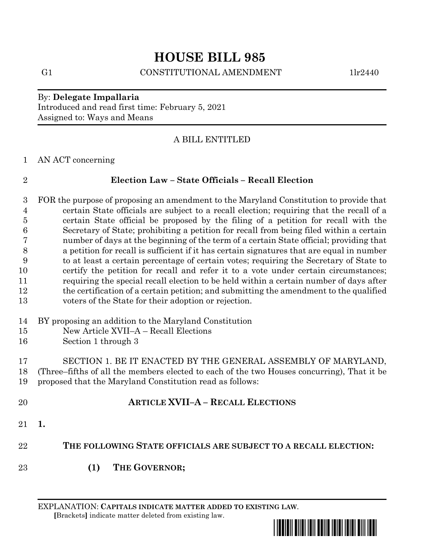# **HOUSE BILL 985**

## G1 CONSTITUTIONAL AMENDMENT 1lr2440

## By: **Delegate Impallaria** Introduced and read first time: February 5, 2021 Assigned to: Ways and Means

# A BILL ENTITLED

AN ACT concerning

# **Election Law – State Officials – Recall Election**

 FOR the purpose of proposing an amendment to the Maryland Constitution to provide that certain State officials are subject to a recall election; requiring that the recall of a certain State official be proposed by the filing of a petition for recall with the Secretary of State; prohibiting a petition for recall from being filed within a certain number of days at the beginning of the term of a certain State official; providing that a petition for recall is sufficient if it has certain signatures that are equal in number to at least a certain percentage of certain votes; requiring the Secretary of State to certify the petition for recall and refer it to a vote under certain circumstances; requiring the special recall election to be held within a certain number of days after the certification of a certain petition; and submitting the amendment to the qualified voters of the State for their adoption or rejection.

- BY proposing an addition to the Maryland Constitution
- New Article XVII–A Recall Elections
- Section 1 through 3

 SECTION 1. BE IT ENACTED BY THE GENERAL ASSEMBLY OF MARYLAND, (Three–fifths of all the members elected to each of the two Houses concurring), That it be proposed that the Maryland Constitution read as follows:

- **ARTICLE XVII–A – RECALL ELECTIONS**
- **1.**
- **THE FOLLOWING STATE OFFICIALS ARE SUBJECT TO A RECALL ELECTION:**
- **(1) THE GOVERNOR;**

EXPLANATION: **CAPITALS INDICATE MATTER ADDED TO EXISTING LAW**.  **[**Brackets**]** indicate matter deleted from existing law.